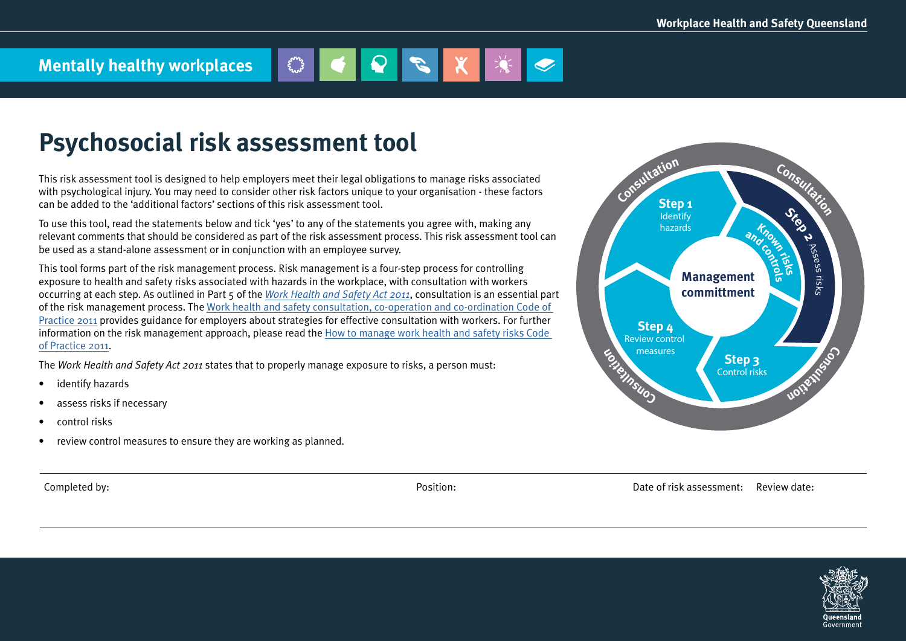# **Mentally healthy workplaces**

## **Psychosocial risk assessment tool**

This risk assessment tool is designed to help employers meet their legal obligations to manage risks associated with psychological injury. You may need to consider other risk factors unique to your organisation - these factors can be added to the 'additional factors' sections of this risk assessment tool.

To use this tool, read the statements below and tick 'yes' to any of the statements you agree with, making any relevant comments that should be considered as part of the risk assessment process. This risk assessment tool can be used as a stand-alone assessment or in conjunction with an employee survey.

This tool forms part of the risk management process. Risk management is a four-step process for controlling exposure to health and safety risks associated with hazards in the workplace, with consultation with workers occurring at each step. As outlined in Part 5 of the *[Work Health and Safety Act 2011](https://www.legislation.qld.gov.au/view/html/inforce/current/act-2011-018)*, consultation is an essential part of the risk management process. The [Work health and safety consultation, co-operation and co-ordination Code of](https://www.worksafe.qld.gov.au/__data/assets/pdf_file/0020/58205/WHS-consultation-coop-coord-COP-2011.pdf)  [Practice 2011](https://www.worksafe.qld.gov.au/__data/assets/pdf_file/0020/58205/WHS-consultation-coop-coord-COP-2011.pdf) provides guidance for employers about strategies for effective consultation with workers. For further information on the risk management approach, please read the [How to manage work health and safety risks Code](https://www.worksafe.qld.gov.au/__data/assets/pdf_file/0003/58170/Manage-WHS-risks-COP-2011.pdf)  [of Practice 2011.](https://www.worksafe.qld.gov.au/__data/assets/pdf_file/0003/58170/Manage-WHS-risks-COP-2011.pdf)

The *Work Health and Safety Act 2011* states that to properly manage exposure to risks, a person must:

- identify hazards
- assess risks if necessary
- control risks
- review control measures to ensure they are working as planned.

Completed by: Completed by: Example the Completed by: Date of risk assessment: Review date:



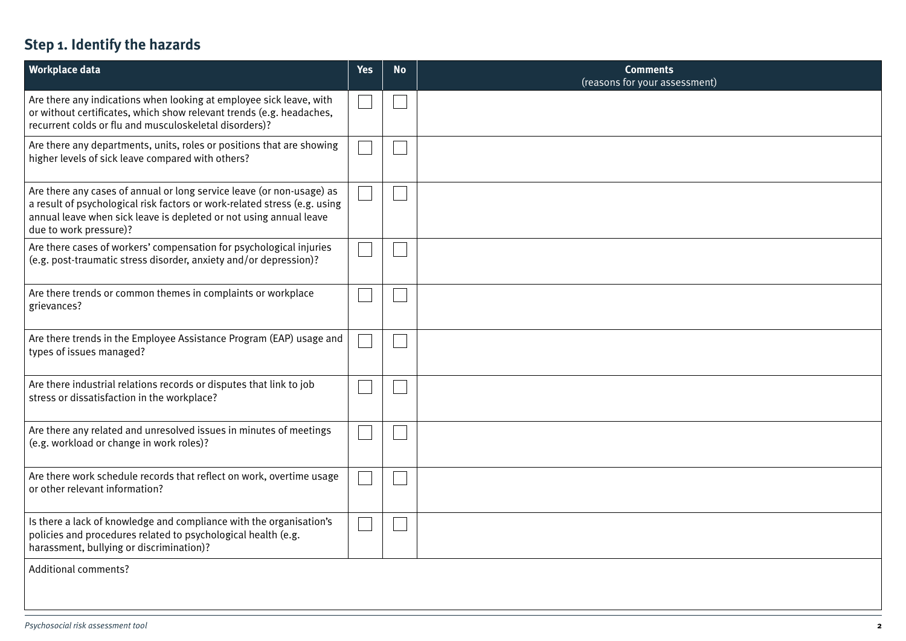### **Step 1. Identify the hazards**

| <b>Workplace data</b>                                                                                                                                                                                                                              | <b>Yes</b> | <b>No</b> | <b>Comments</b><br>(reasons for your assessment) |
|----------------------------------------------------------------------------------------------------------------------------------------------------------------------------------------------------------------------------------------------------|------------|-----------|--------------------------------------------------|
| Are there any indications when looking at employee sick leave, with<br>or without certificates, which show relevant trends (e.g. headaches,<br>recurrent colds or flu and musculoskeletal disorders)?                                              |            |           |                                                  |
| Are there any departments, units, roles or positions that are showing<br>higher levels of sick leave compared with others?                                                                                                                         |            |           |                                                  |
| Are there any cases of annual or long service leave (or non-usage) as<br>a result of psychological risk factors or work-related stress (e.g. using<br>annual leave when sick leave is depleted or not using annual leave<br>due to work pressure)? |            |           |                                                  |
| Are there cases of workers' compensation for psychological injuries<br>(e.g. post-traumatic stress disorder, anxiety and/or depression)?                                                                                                           |            |           |                                                  |
| Are there trends or common themes in complaints or workplace<br>grievances?                                                                                                                                                                        |            |           |                                                  |
| Are there trends in the Employee Assistance Program (EAP) usage and<br>types of issues managed?                                                                                                                                                    |            |           |                                                  |
| Are there industrial relations records or disputes that link to job<br>stress or dissatisfaction in the workplace?                                                                                                                                 |            |           |                                                  |
| Are there any related and unresolved issues in minutes of meetings<br>(e.g. workload or change in work roles)?                                                                                                                                     |            |           |                                                  |
| Are there work schedule records that reflect on work, overtime usage<br>or other relevant information?                                                                                                                                             |            |           |                                                  |
| Is there a lack of knowledge and compliance with the organisation's<br>policies and procedures related to psychological health (e.g.<br>harassment, bullying or discrimination)?                                                                   |            |           |                                                  |
| <b>Additional comments?</b>                                                                                                                                                                                                                        |            |           |                                                  |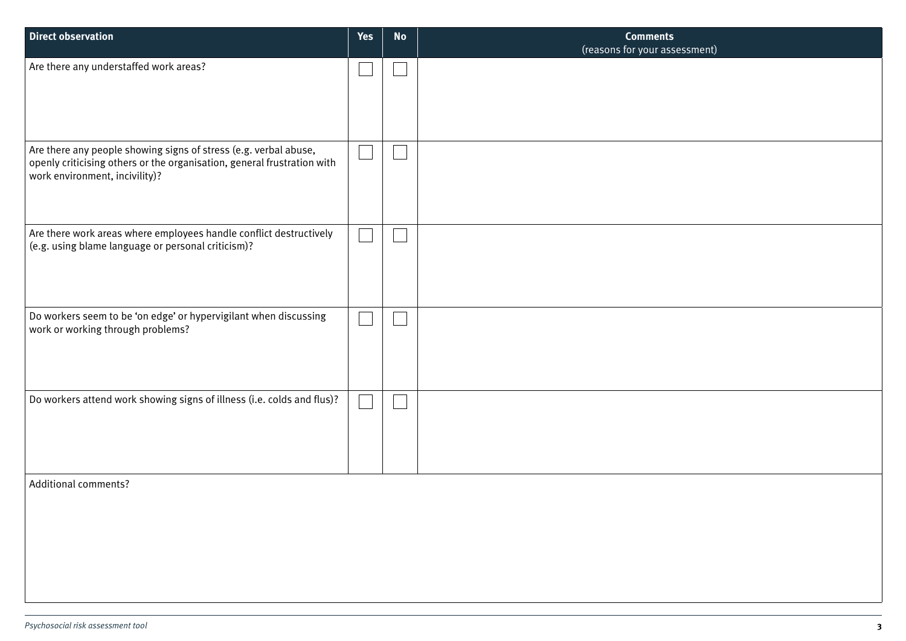| <b>Direct observation</b>                                                                                                                                                     | <b>Yes</b> | <b>No</b> | <b>Comments</b><br>(reasons for your assessment) |
|-------------------------------------------------------------------------------------------------------------------------------------------------------------------------------|------------|-----------|--------------------------------------------------|
| Are there any understaffed work areas?                                                                                                                                        |            |           |                                                  |
| Are there any people showing signs of stress (e.g. verbal abuse,<br>openly criticising others or the organisation, general frustration with<br>work environment, incivility)? |            |           |                                                  |
| Are there work areas where employees handle conflict destructively<br>(e.g. using blame language or personal criticism)?                                                      |            |           |                                                  |
| Do workers seem to be 'on edge' or hypervigilant when discussing<br>work or working through problems?                                                                         |            |           |                                                  |
| Do workers attend work showing signs of illness (i.e. colds and flus)?                                                                                                        |            |           |                                                  |
| <b>Additional comments?</b>                                                                                                                                                   |            |           |                                                  |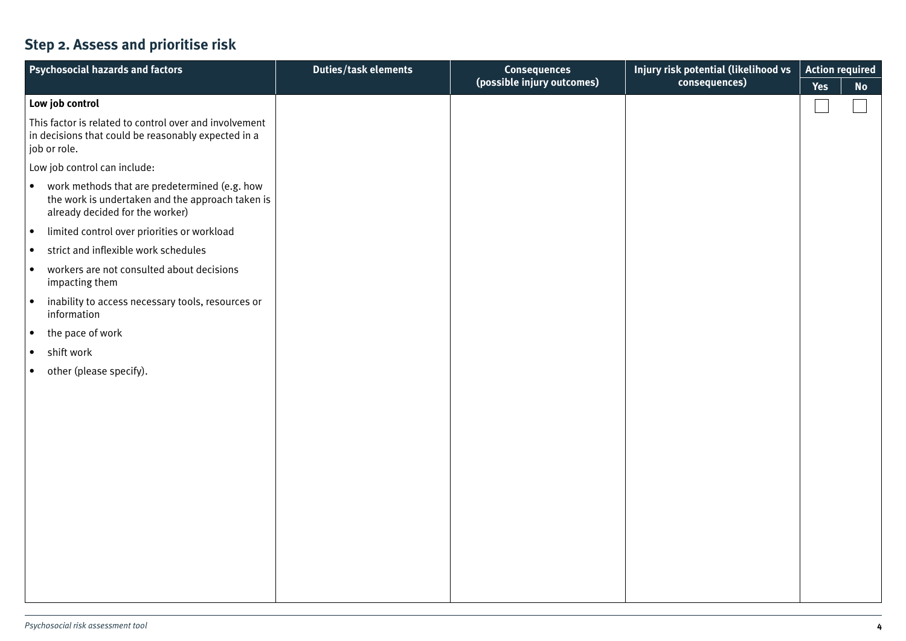### **Step 2. Assess and prioritise risk**

| Yes<br><b>No</b><br>Low job control<br>This factor is related to control over and involvement<br>in decisions that could be reasonably expected in a<br>job or role.<br>Low job control can include:<br>work methods that are predetermined (e.g. how<br>$\bullet$<br>the work is undertaken and the approach taken is<br>already decided for the worker)<br>limited control over priorities or workload<br>$\bullet$<br>strict and inflexible work schedules<br>$\bullet$<br>workers are not consulted about decisions<br>$\bullet$<br>impacting them<br>inability to access necessary tools, resources or<br>$\bullet$<br>information<br>the pace of work<br>$\bullet$<br>shift work<br>$\bullet$<br>other (please specify).<br>$\bullet$ | <b>Psychosocial hazards and factors</b> | <b>Duties/task elements</b> | <b>Consequences</b>        | Injury risk potential (likelihood vs | <b>Action required</b> |  |
|---------------------------------------------------------------------------------------------------------------------------------------------------------------------------------------------------------------------------------------------------------------------------------------------------------------------------------------------------------------------------------------------------------------------------------------------------------------------------------------------------------------------------------------------------------------------------------------------------------------------------------------------------------------------------------------------------------------------------------------------|-----------------------------------------|-----------------------------|----------------------------|--------------------------------------|------------------------|--|
|                                                                                                                                                                                                                                                                                                                                                                                                                                                                                                                                                                                                                                                                                                                                             |                                         |                             | (possible injury outcomes) | consequences)                        |                        |  |
|                                                                                                                                                                                                                                                                                                                                                                                                                                                                                                                                                                                                                                                                                                                                             |                                         |                             |                            |                                      |                        |  |
|                                                                                                                                                                                                                                                                                                                                                                                                                                                                                                                                                                                                                                                                                                                                             |                                         |                             |                            |                                      |                        |  |
|                                                                                                                                                                                                                                                                                                                                                                                                                                                                                                                                                                                                                                                                                                                                             |                                         |                             |                            |                                      |                        |  |
|                                                                                                                                                                                                                                                                                                                                                                                                                                                                                                                                                                                                                                                                                                                                             |                                         |                             |                            |                                      |                        |  |
|                                                                                                                                                                                                                                                                                                                                                                                                                                                                                                                                                                                                                                                                                                                                             |                                         |                             |                            |                                      |                        |  |
|                                                                                                                                                                                                                                                                                                                                                                                                                                                                                                                                                                                                                                                                                                                                             |                                         |                             |                            |                                      |                        |  |
|                                                                                                                                                                                                                                                                                                                                                                                                                                                                                                                                                                                                                                                                                                                                             |                                         |                             |                            |                                      |                        |  |
|                                                                                                                                                                                                                                                                                                                                                                                                                                                                                                                                                                                                                                                                                                                                             |                                         |                             |                            |                                      |                        |  |
|                                                                                                                                                                                                                                                                                                                                                                                                                                                                                                                                                                                                                                                                                                                                             |                                         |                             |                            |                                      |                        |  |
|                                                                                                                                                                                                                                                                                                                                                                                                                                                                                                                                                                                                                                                                                                                                             |                                         |                             |                            |                                      |                        |  |
|                                                                                                                                                                                                                                                                                                                                                                                                                                                                                                                                                                                                                                                                                                                                             |                                         |                             |                            |                                      |                        |  |
|                                                                                                                                                                                                                                                                                                                                                                                                                                                                                                                                                                                                                                                                                                                                             |                                         |                             |                            |                                      |                        |  |
|                                                                                                                                                                                                                                                                                                                                                                                                                                                                                                                                                                                                                                                                                                                                             |                                         |                             |                            |                                      |                        |  |
|                                                                                                                                                                                                                                                                                                                                                                                                                                                                                                                                                                                                                                                                                                                                             |                                         |                             |                            |                                      |                        |  |
|                                                                                                                                                                                                                                                                                                                                                                                                                                                                                                                                                                                                                                                                                                                                             |                                         |                             |                            |                                      |                        |  |
|                                                                                                                                                                                                                                                                                                                                                                                                                                                                                                                                                                                                                                                                                                                                             |                                         |                             |                            |                                      |                        |  |
|                                                                                                                                                                                                                                                                                                                                                                                                                                                                                                                                                                                                                                                                                                                                             |                                         |                             |                            |                                      |                        |  |
|                                                                                                                                                                                                                                                                                                                                                                                                                                                                                                                                                                                                                                                                                                                                             |                                         |                             |                            |                                      |                        |  |
|                                                                                                                                                                                                                                                                                                                                                                                                                                                                                                                                                                                                                                                                                                                                             |                                         |                             |                            |                                      |                        |  |
|                                                                                                                                                                                                                                                                                                                                                                                                                                                                                                                                                                                                                                                                                                                                             |                                         |                             |                            |                                      |                        |  |
|                                                                                                                                                                                                                                                                                                                                                                                                                                                                                                                                                                                                                                                                                                                                             |                                         |                             |                            |                                      |                        |  |
|                                                                                                                                                                                                                                                                                                                                                                                                                                                                                                                                                                                                                                                                                                                                             |                                         |                             |                            |                                      |                        |  |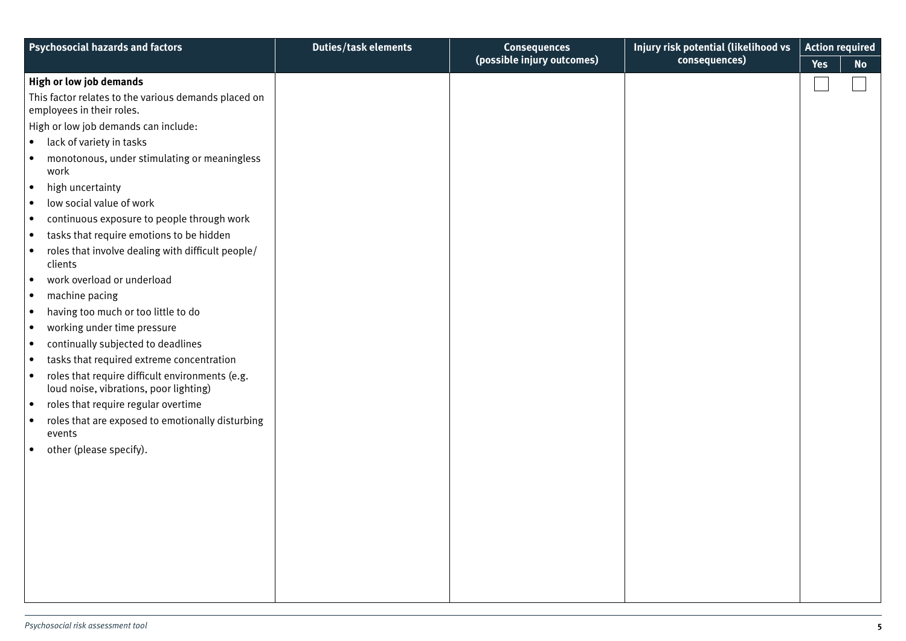| <b>Psychosocial hazards and factors</b>                                                                | <b>Duties/task elements</b> | <b>Consequences</b>        | Injury risk potential (likelihood vs | <b>Action required</b>  |
|--------------------------------------------------------------------------------------------------------|-----------------------------|----------------------------|--------------------------------------|-------------------------|
|                                                                                                        |                             | (possible injury outcomes) | consequences)                        | <b>Yes</b><br><b>No</b> |
| High or low job demands                                                                                |                             |                            |                                      |                         |
| This factor relates to the various demands placed on<br>employees in their roles.                      |                             |                            |                                      |                         |
| High or low job demands can include:                                                                   |                             |                            |                                      |                         |
| lack of variety in tasks<br>$\bullet$                                                                  |                             |                            |                                      |                         |
| monotonous, under stimulating or meaningless<br>$\bullet$<br>work                                      |                             |                            |                                      |                         |
| high uncertainty<br>$\bullet$                                                                          |                             |                            |                                      |                         |
| low social value of work<br>$\bullet$                                                                  |                             |                            |                                      |                         |
| continuous exposure to people through work<br>$\bullet$                                                |                             |                            |                                      |                         |
| tasks that require emotions to be hidden<br>$\bullet$                                                  |                             |                            |                                      |                         |
| roles that involve dealing with difficult people/<br>$\bullet$<br>clients                              |                             |                            |                                      |                         |
| work overload or underload<br>$\bullet$                                                                |                             |                            |                                      |                         |
| machine pacing<br>$\bullet$                                                                            |                             |                            |                                      |                         |
| having too much or too little to do<br>$\bullet$                                                       |                             |                            |                                      |                         |
| working under time pressure<br>$\bullet$                                                               |                             |                            |                                      |                         |
| continually subjected to deadlines<br>$\bullet$                                                        |                             |                            |                                      |                         |
| tasks that required extreme concentration<br>$\bullet$                                                 |                             |                            |                                      |                         |
| roles that require difficult environments (e.g.<br>$\bullet$<br>loud noise, vibrations, poor lighting) |                             |                            |                                      |                         |
| roles that require regular overtime<br>$\bullet$                                                       |                             |                            |                                      |                         |
| roles that are exposed to emotionally disturbing<br>$\bullet$<br>events                                |                             |                            |                                      |                         |
| other (please specify).<br>$\bullet$                                                                   |                             |                            |                                      |                         |
|                                                                                                        |                             |                            |                                      |                         |
|                                                                                                        |                             |                            |                                      |                         |
|                                                                                                        |                             |                            |                                      |                         |
|                                                                                                        |                             |                            |                                      |                         |
|                                                                                                        |                             |                            |                                      |                         |
|                                                                                                        |                             |                            |                                      |                         |
|                                                                                                        |                             |                            |                                      |                         |
|                                                                                                        |                             |                            |                                      |                         |
|                                                                                                        |                             |                            |                                      |                         |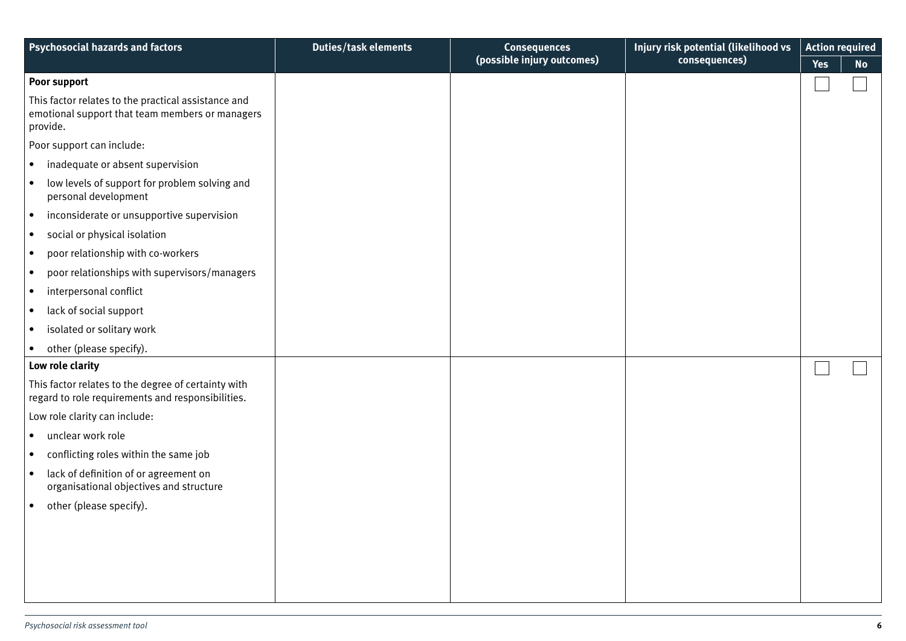| <b>Psychosocial hazards and factors</b>                                                                            | <b>Duties/task elements</b> | <b>Consequences</b>        | Injury risk potential (likelihood vs | <b>Action required</b> |           |
|--------------------------------------------------------------------------------------------------------------------|-----------------------------|----------------------------|--------------------------------------|------------------------|-----------|
|                                                                                                                    |                             | (possible injury outcomes) | consequences)                        | <b>Yes</b>             | <b>No</b> |
| Poor support                                                                                                       |                             |                            |                                      |                        |           |
| This factor relates to the practical assistance and<br>emotional support that team members or managers<br>provide. |                             |                            |                                      |                        |           |
| Poor support can include:                                                                                          |                             |                            |                                      |                        |           |
| inadequate or absent supervision<br>$\bullet$                                                                      |                             |                            |                                      |                        |           |
| low levels of support for problem solving and<br>$\bullet$<br>personal development                                 |                             |                            |                                      |                        |           |
| inconsiderate or unsupportive supervision<br>$\bullet$                                                             |                             |                            |                                      |                        |           |
| social or physical isolation<br>$\bullet$                                                                          |                             |                            |                                      |                        |           |
| poor relationship with co-workers<br>$\bullet$                                                                     |                             |                            |                                      |                        |           |
| poor relationships with supervisors/managers<br>$\bullet$                                                          |                             |                            |                                      |                        |           |
| interpersonal conflict<br>$\bullet$                                                                                |                             |                            |                                      |                        |           |
| lack of social support<br>$\bullet$                                                                                |                             |                            |                                      |                        |           |
| isolated or solitary work<br>$\bullet$                                                                             |                             |                            |                                      |                        |           |
| other (please specify).                                                                                            |                             |                            |                                      |                        |           |
| Low role clarity                                                                                                   |                             |                            |                                      |                        |           |
| This factor relates to the degree of certainty with<br>regard to role requirements and responsibilities.           |                             |                            |                                      |                        |           |
| Low role clarity can include:                                                                                      |                             |                            |                                      |                        |           |
| unclear work role<br>$\bullet$                                                                                     |                             |                            |                                      |                        |           |
| conflicting roles within the same job<br>$\bullet$                                                                 |                             |                            |                                      |                        |           |
| lack of definition of or agreement on<br>$\bullet$<br>organisational objectives and structure                      |                             |                            |                                      |                        |           |
| other (please specify).<br>$\bullet$                                                                               |                             |                            |                                      |                        |           |
|                                                                                                                    |                             |                            |                                      |                        |           |
|                                                                                                                    |                             |                            |                                      |                        |           |
|                                                                                                                    |                             |                            |                                      |                        |           |
|                                                                                                                    |                             |                            |                                      |                        |           |
|                                                                                                                    |                             |                            |                                      |                        |           |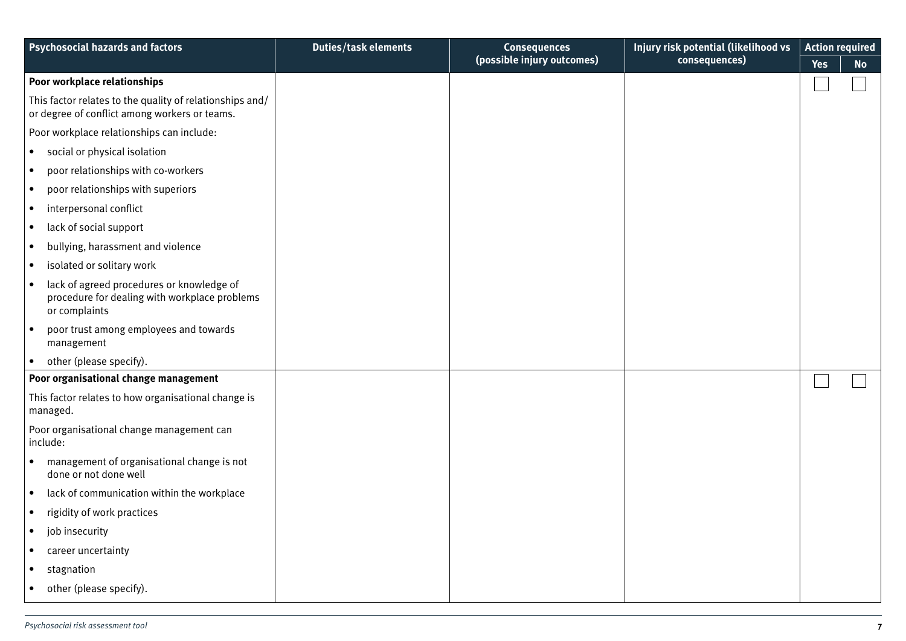| <b>Psychosocial hazards and factors</b>                                                                     | <b>Duties/task elements</b> | <b>Consequences</b><br>(possible injury outcomes) | Injury risk potential (likelihood vs<br>consequences) | <b>Action required</b><br><b>Yes</b> | <b>No</b> |
|-------------------------------------------------------------------------------------------------------------|-----------------------------|---------------------------------------------------|-------------------------------------------------------|--------------------------------------|-----------|
| Poor workplace relationships                                                                                |                             |                                                   |                                                       |                                      |           |
| This factor relates to the quality of relationships and/<br>or degree of conflict among workers or teams.   |                             |                                                   |                                                       |                                      |           |
| Poor workplace relationships can include:                                                                   |                             |                                                   |                                                       |                                      |           |
| social or physical isolation<br>$\bullet$                                                                   |                             |                                                   |                                                       |                                      |           |
| poor relationships with co-workers<br>$\bullet$                                                             |                             |                                                   |                                                       |                                      |           |
| poor relationships with superiors<br>$\bullet$                                                              |                             |                                                   |                                                       |                                      |           |
| interpersonal conflict<br>$\bullet$                                                                         |                             |                                                   |                                                       |                                      |           |
| lack of social support<br>$\bullet$                                                                         |                             |                                                   |                                                       |                                      |           |
| bullying, harassment and violence<br>$\bullet$                                                              |                             |                                                   |                                                       |                                      |           |
| isolated or solitary work<br>$\bullet$                                                                      |                             |                                                   |                                                       |                                      |           |
| lack of agreed procedures or knowledge of<br>procedure for dealing with workplace problems<br>or complaints |                             |                                                   |                                                       |                                      |           |
| poor trust among employees and towards<br>$\bullet$<br>management                                           |                             |                                                   |                                                       |                                      |           |
| other (please specify).                                                                                     |                             |                                                   |                                                       |                                      |           |
| Poor organisational change management                                                                       |                             |                                                   |                                                       |                                      |           |
| This factor relates to how organisational change is<br>managed.                                             |                             |                                                   |                                                       |                                      |           |
| Poor organisational change management can<br>include:                                                       |                             |                                                   |                                                       |                                      |           |
| management of organisational change is not<br>done or not done well                                         |                             |                                                   |                                                       |                                      |           |
| lack of communication within the workplace                                                                  |                             |                                                   |                                                       |                                      |           |
| rigidity of work practices                                                                                  |                             |                                                   |                                                       |                                      |           |
| job insecurity<br>$\bullet$                                                                                 |                             |                                                   |                                                       |                                      |           |
| career uncertainty<br>$\bullet$                                                                             |                             |                                                   |                                                       |                                      |           |
| stagnation<br>$\bullet$                                                                                     |                             |                                                   |                                                       |                                      |           |
| other (please specify).<br>٠                                                                                |                             |                                                   |                                                       |                                      |           |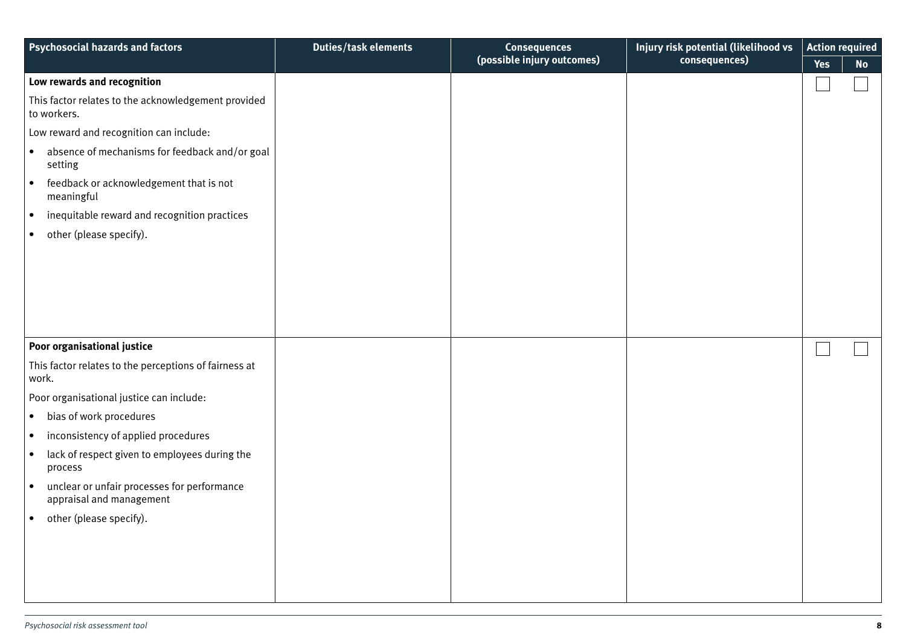| <b>Psychosocial hazards and factors</b>                                              | <b>Duties/task elements</b> | <b>Consequences</b><br>(possible injury outcomes) | Injury risk potential (likelihood vs | <b>Action required</b> |           |
|--------------------------------------------------------------------------------------|-----------------------------|---------------------------------------------------|--------------------------------------|------------------------|-----------|
|                                                                                      |                             |                                                   | consequences)                        | <b>Yes</b>             | <b>No</b> |
| Low rewards and recognition                                                          |                             |                                                   |                                      |                        |           |
| This factor relates to the acknowledgement provided<br>to workers.                   |                             |                                                   |                                      |                        |           |
| Low reward and recognition can include:                                              |                             |                                                   |                                      |                        |           |
| absence of mechanisms for feedback and/or goal<br>$\bullet$<br>setting               |                             |                                                   |                                      |                        |           |
| feedback or acknowledgement that is not<br>$\bullet$<br>meaningful                   |                             |                                                   |                                      |                        |           |
| inequitable reward and recognition practices<br>$\bullet$                            |                             |                                                   |                                      |                        |           |
| other (please specify).<br>$\bullet$                                                 |                             |                                                   |                                      |                        |           |
|                                                                                      |                             |                                                   |                                      |                        |           |
|                                                                                      |                             |                                                   |                                      |                        |           |
|                                                                                      |                             |                                                   |                                      |                        |           |
|                                                                                      |                             |                                                   |                                      |                        |           |
|                                                                                      |                             |                                                   |                                      |                        |           |
| Poor organisational justice                                                          |                             |                                                   |                                      |                        |           |
| This factor relates to the perceptions of fairness at<br>work.                       |                             |                                                   |                                      |                        |           |
| Poor organisational justice can include:                                             |                             |                                                   |                                      |                        |           |
| bias of work procedures<br>$\bullet$                                                 |                             |                                                   |                                      |                        |           |
| inconsistency of applied procedures<br>$\bullet$                                     |                             |                                                   |                                      |                        |           |
| lack of respect given to employees during the<br>$\bullet$<br>process                |                             |                                                   |                                      |                        |           |
| unclear or unfair processes for performance<br>$\bullet$<br>appraisal and management |                             |                                                   |                                      |                        |           |
| • other (please specify).                                                            |                             |                                                   |                                      |                        |           |
|                                                                                      |                             |                                                   |                                      |                        |           |
|                                                                                      |                             |                                                   |                                      |                        |           |
|                                                                                      |                             |                                                   |                                      |                        |           |
|                                                                                      |                             |                                                   |                                      |                        |           |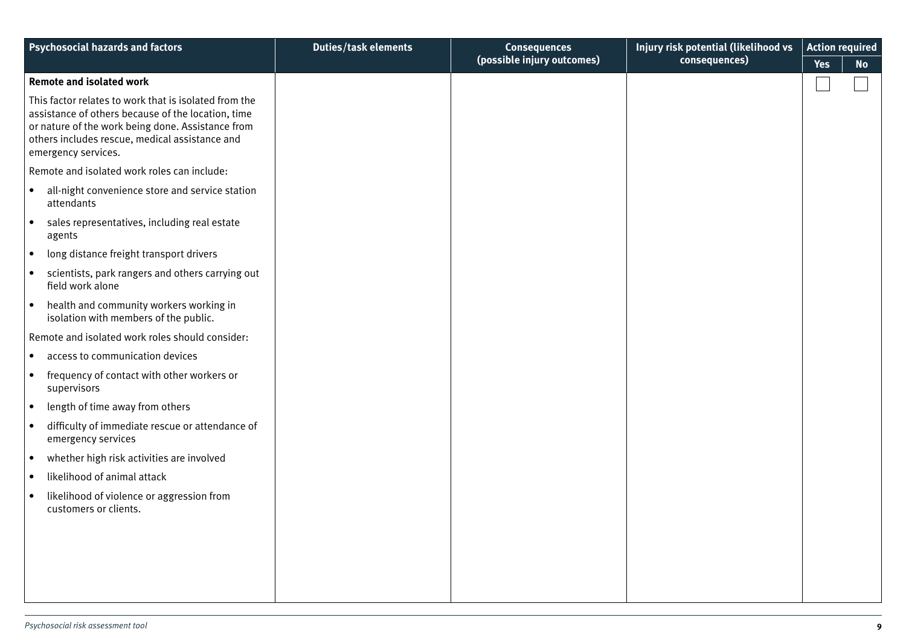| <b>Psychosocial hazards and factors</b>                                                                                                                                                                                                   | <b>Duties/task elements</b> | <b>Consequences</b><br>(possible injury outcomes) | Injury risk potential (likelihood vs<br>consequences) | <b>Action required</b><br><b>Yes</b> | <b>No</b> |
|-------------------------------------------------------------------------------------------------------------------------------------------------------------------------------------------------------------------------------------------|-----------------------------|---------------------------------------------------|-------------------------------------------------------|--------------------------------------|-----------|
| <b>Remote and isolated work</b>                                                                                                                                                                                                           |                             |                                                   |                                                       |                                      |           |
| This factor relates to work that is isolated from the<br>assistance of others because of the location, time<br>or nature of the work being done. Assistance from<br>others includes rescue, medical assistance and<br>emergency services. |                             |                                                   |                                                       |                                      |           |
| Remote and isolated work roles can include:                                                                                                                                                                                               |                             |                                                   |                                                       |                                      |           |
| all-night convenience store and service station<br>$\bullet$<br>attendants                                                                                                                                                                |                             |                                                   |                                                       |                                      |           |
| sales representatives, including real estate<br>$\bullet$<br>agents                                                                                                                                                                       |                             |                                                   |                                                       |                                      |           |
| long distance freight transport drivers<br>$\bullet$                                                                                                                                                                                      |                             |                                                   |                                                       |                                      |           |
| scientists, park rangers and others carrying out<br>$\bullet$<br>field work alone                                                                                                                                                         |                             |                                                   |                                                       |                                      |           |
| health and community workers working in<br>$\bullet$<br>isolation with members of the public.                                                                                                                                             |                             |                                                   |                                                       |                                      |           |
| Remote and isolated work roles should consider:                                                                                                                                                                                           |                             |                                                   |                                                       |                                      |           |
| access to communication devices<br>$\bullet$                                                                                                                                                                                              |                             |                                                   |                                                       |                                      |           |
| frequency of contact with other workers or<br>$\bullet$<br>supervisors                                                                                                                                                                    |                             |                                                   |                                                       |                                      |           |
| length of time away from others<br>$\bullet$                                                                                                                                                                                              |                             |                                                   |                                                       |                                      |           |
| difficulty of immediate rescue or attendance of<br>$\bullet$<br>emergency services                                                                                                                                                        |                             |                                                   |                                                       |                                      |           |
| whether high risk activities are involved<br>$\bullet$                                                                                                                                                                                    |                             |                                                   |                                                       |                                      |           |
| likelihood of animal attack                                                                                                                                                                                                               |                             |                                                   |                                                       |                                      |           |
| likelihood of violence or aggression from<br>customers or clients.                                                                                                                                                                        |                             |                                                   |                                                       |                                      |           |
|                                                                                                                                                                                                                                           |                             |                                                   |                                                       |                                      |           |
|                                                                                                                                                                                                                                           |                             |                                                   |                                                       |                                      |           |
|                                                                                                                                                                                                                                           |                             |                                                   |                                                       |                                      |           |
|                                                                                                                                                                                                                                           |                             |                                                   |                                                       |                                      |           |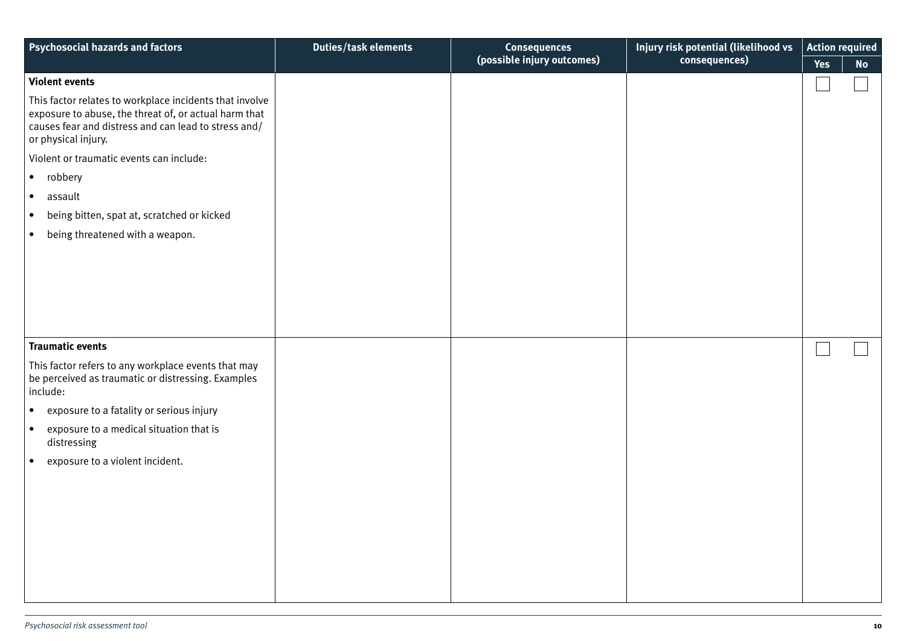| <b>Psychosocial hazards and factors</b>                                                                                                                                                         | <b>Duties/task elements</b> | <b>Consequences</b>        | Injury risk potential (likelihood vs | <b>Action required</b> |           |
|-------------------------------------------------------------------------------------------------------------------------------------------------------------------------------------------------|-----------------------------|----------------------------|--------------------------------------|------------------------|-----------|
|                                                                                                                                                                                                 |                             | (possible injury outcomes) | consequences)                        | <b>Yes</b>             | <b>No</b> |
| <b>Violent events</b>                                                                                                                                                                           |                             |                            |                                      |                        |           |
| This factor relates to workplace incidents that involve<br>exposure to abuse, the threat of, or actual harm that<br>causes fear and distress and can lead to stress and/<br>or physical injury. |                             |                            |                                      |                        |           |
| Violent or traumatic events can include:                                                                                                                                                        |                             |                            |                                      |                        |           |
| robbery<br>$\bullet$                                                                                                                                                                            |                             |                            |                                      |                        |           |
| $\bullet$<br>assault                                                                                                                                                                            |                             |                            |                                      |                        |           |
| being bitten, spat at, scratched or kicked<br>$\bullet$                                                                                                                                         |                             |                            |                                      |                        |           |
| being threatened with a weapon.<br>$\bullet$                                                                                                                                                    |                             |                            |                                      |                        |           |
|                                                                                                                                                                                                 |                             |                            |                                      |                        |           |
|                                                                                                                                                                                                 |                             |                            |                                      |                        |           |
|                                                                                                                                                                                                 |                             |                            |                                      |                        |           |
|                                                                                                                                                                                                 |                             |                            |                                      |                        |           |
|                                                                                                                                                                                                 |                             |                            |                                      |                        |           |
| <b>Traumatic events</b>                                                                                                                                                                         |                             |                            |                                      |                        |           |
| This factor refers to any workplace events that may<br>be perceived as traumatic or distressing. Examples<br>include:                                                                           |                             |                            |                                      |                        |           |
| exposure to a fatality or serious injury<br>$\bullet$                                                                                                                                           |                             |                            |                                      |                        |           |
| exposure to a medical situation that is<br>$\bullet$<br>distressing                                                                                                                             |                             |                            |                                      |                        |           |
| exposure to a violent incident.<br>$\bullet$                                                                                                                                                    |                             |                            |                                      |                        |           |
|                                                                                                                                                                                                 |                             |                            |                                      |                        |           |
|                                                                                                                                                                                                 |                             |                            |                                      |                        |           |
|                                                                                                                                                                                                 |                             |                            |                                      |                        |           |
|                                                                                                                                                                                                 |                             |                            |                                      |                        |           |
|                                                                                                                                                                                                 |                             |                            |                                      |                        |           |
|                                                                                                                                                                                                 |                             |                            |                                      |                        |           |
|                                                                                                                                                                                                 |                             |                            |                                      |                        |           |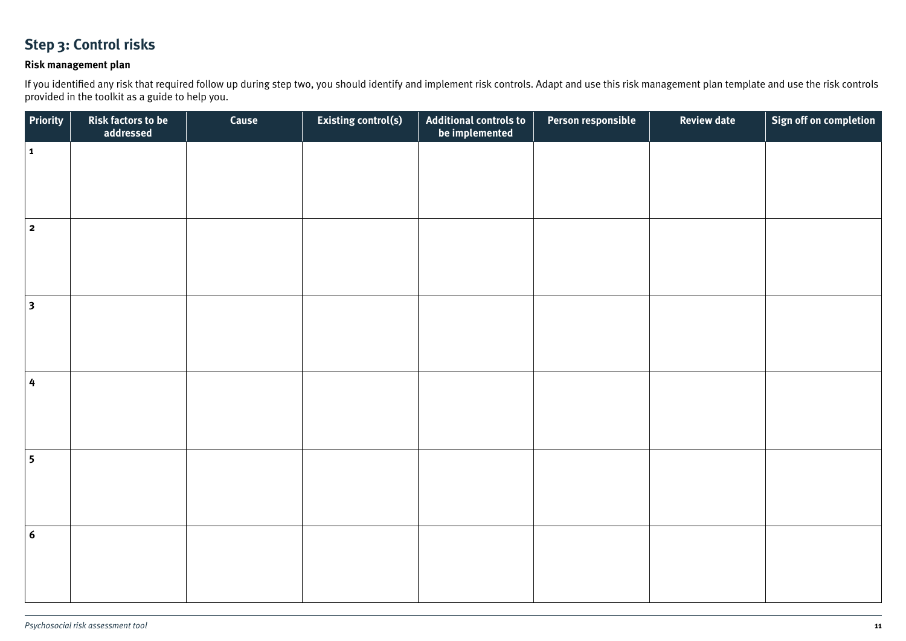#### **Step 3: Control risks**

#### **Risk management plan**

If you identified any risk that required follow up during step two, you should identify and implement risk controls. Adapt and use this risk management plan template and use the risk controls provided in the toolkit as a guide to help you.

| Priority                | Risk factors to be<br>addressed | Cause | Existing control(s) | Additional controls to<br>be implemented | Person responsible | <b>Review date</b> | Sign off on completion |
|-------------------------|---------------------------------|-------|---------------------|------------------------------------------|--------------------|--------------------|------------------------|
| $\vert$ 1               |                                 |       |                     |                                          |                    |                    |                        |
|                         |                                 |       |                     |                                          |                    |                    |                        |
|                         |                                 |       |                     |                                          |                    |                    |                        |
| $\overline{\mathbf{2}}$ |                                 |       |                     |                                          |                    |                    |                        |
|                         |                                 |       |                     |                                          |                    |                    |                        |
|                         |                                 |       |                     |                                          |                    |                    |                        |
| $\vert$ 3               |                                 |       |                     |                                          |                    |                    |                        |
|                         |                                 |       |                     |                                          |                    |                    |                        |
|                         |                                 |       |                     |                                          |                    |                    |                        |
| 4                       |                                 |       |                     |                                          |                    |                    |                        |
|                         |                                 |       |                     |                                          |                    |                    |                        |
|                         |                                 |       |                     |                                          |                    |                    |                        |
| $\overline{\mathbf{5}}$ |                                 |       |                     |                                          |                    |                    |                        |
|                         |                                 |       |                     |                                          |                    |                    |                        |
|                         |                                 |       |                     |                                          |                    |                    |                        |
| $6\phantom{1}6$         |                                 |       |                     |                                          |                    |                    |                        |
|                         |                                 |       |                     |                                          |                    |                    |                        |
|                         |                                 |       |                     |                                          |                    |                    |                        |